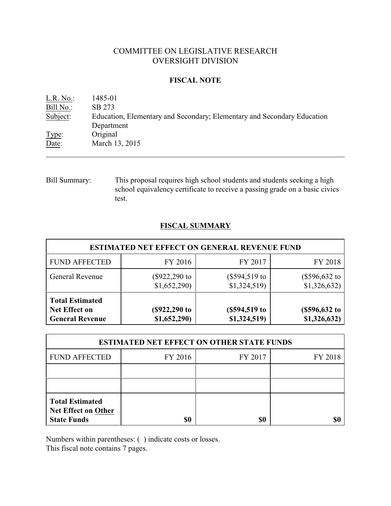# COMMITTEE ON LEGISLATIVE RESEARCH OVERSIGHT DIVISION

## **FISCAL NOTE**

| L.R. No.  | 1485-01                                                                 |
|-----------|-------------------------------------------------------------------------|
| Bill No.: | SB 273                                                                  |
| Subject:  | Education, Elementary and Secondary; Elementary and Secondary Education |
|           | Department                                                              |
| Type:     | Original                                                                |
| Date:     | March 13, 2015                                                          |
|           |                                                                         |

Bill Summary: This proposal requires high school students and students seeking a high school equivalency certificate to receive a passing grade on a basic civics test.

## **FISCAL SUMMARY**

| <b>ESTIMATED NET EFFECT ON GENERAL REVENUE FUND</b>                      |                               |                              |                                 |  |
|--------------------------------------------------------------------------|-------------------------------|------------------------------|---------------------------------|--|
| <b>FUND AFFECTED</b>                                                     | FY 2016                       | FY 2017                      | FY 2018                         |  |
| <b>General Revenue</b>                                                   | (\$922,290 to<br>\$1,652,290) | (\$594,519 to<br>\$1,324,519 | $(\$596,632$ to<br>\$1,326,632) |  |
| <b>Total Estimated</b><br><b>Net Effect on</b><br><b>General Revenue</b> | (\$922,290 to<br>\$1,652,290) | (\$594,519 to<br>\$1,324,519 | (\$596, 632 to<br>\$1,326,632)  |  |

| <b>ESTIMATED NET EFFECT ON OTHER STATE FUNDS</b>                           |         |         |         |  |
|----------------------------------------------------------------------------|---------|---------|---------|--|
| <b>FUND AFFECTED</b>                                                       | FY 2016 | FY 2017 | FY 2018 |  |
|                                                                            |         |         |         |  |
|                                                                            |         |         |         |  |
| <b>Total Estimated</b><br><b>Net Effect on Other</b><br><b>State Funds</b> | \$0     | \$0     |         |  |

Numbers within parentheses: ( ) indicate costs or losses.

This fiscal note contains 7 pages.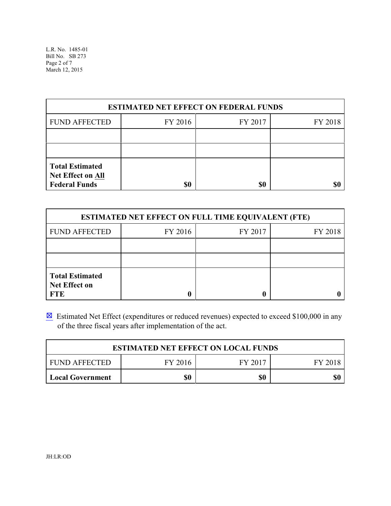L.R. No. 1485-01 Bill No. SB 273 Page 2 of 7 March 12, 2015

| <b>ESTIMATED NET EFFECT ON FEDERAL FUNDS</b>                               |         |         |         |  |
|----------------------------------------------------------------------------|---------|---------|---------|--|
| <b>FUND AFFECTED</b>                                                       | FY 2016 | FY 2017 | FY 2018 |  |
|                                                                            |         |         |         |  |
|                                                                            |         |         |         |  |
| <b>Total Estimated</b><br><b>Net Effect on All</b><br><b>Federal Funds</b> | \$0     | \$0     |         |  |

| <b>ESTIMATED NET EFFECT ON FULL TIME EQUIVALENT (FTE)</b>    |         |         |         |  |
|--------------------------------------------------------------|---------|---------|---------|--|
| <b>FUND AFFECTED</b>                                         | FY 2016 | FY 2017 | FY 2018 |  |
|                                                              |         |         |         |  |
|                                                              |         |         |         |  |
| <b>Total Estimated</b><br><b>Net Effect on</b><br><b>FTE</b> |         |         |         |  |

 $\boxtimes$  Estimated Net Effect (expenditures or reduced revenues) expected to exceed \$100,000 in any of the three fiscal years after implementation of the act.

| <b>ESTIMATED NET EFFECT ON LOCAL FUNDS</b> |         |         |         |
|--------------------------------------------|---------|---------|---------|
| <b>FUND AFFECTED</b>                       | FY 2016 | FY 2017 | FY 2018 |
| Local Government                           | \$0     | \$0     | \$0     |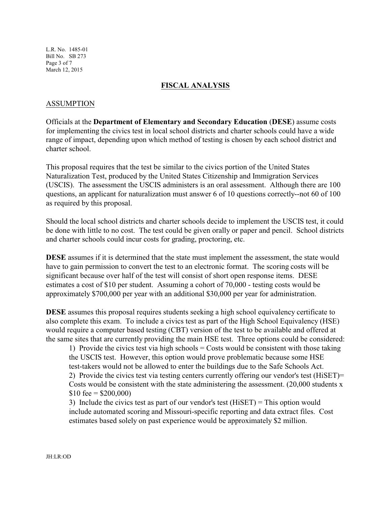L.R. No. 1485-01 Bill No. SB 273 Page 3 of 7 March 12, 2015

#### **FISCAL ANALYSIS**

#### ASSUMPTION

Officials at the **Department of Elementary and Secondary Education** (**DESE**) assume costs for implementing the civics test in local school districts and charter schools could have a wide range of impact, depending upon which method of testing is chosen by each school district and charter school.

This proposal requires that the test be similar to the civics portion of the United States Naturalization Test, produced by the United States Citizenship and Immigration Services (USCIS). The assessment the USCIS administers is an oral assessment. Although there are 100 questions, an applicant for naturalization must answer 6 of 10 questions correctly--not 60 of 100 as required by this proposal.

Should the local school districts and charter schools decide to implement the USCIS test, it could be done with little to no cost. The test could be given orally or paper and pencil. School districts and charter schools could incur costs for grading, proctoring, etc.

**DESE** assumes if it is determined that the state must implement the assessment, the state would have to gain permission to convert the test to an electronic format. The scoring costs will be significant because over half of the test will consist of short open response items. DESE estimates a cost of \$10 per student. Assuming a cohort of 70,000 - testing costs would be approximately \$700,000 per year with an additional \$30,000 per year for administration.

**DESE** assumes this proposal requires students seeking a high school equivalency certificate to also complete this exam. To include a civics test as part of the High School Equivalency (HSE) would require a computer based testing (CBT) version of the test to be available and offered at the same sites that are currently providing the main HSE test. Three options could be considered:

1) Provide the civics test via high schools  $=$  Costs would be consistent with those taking the USCIS test. However, this option would prove problematic because some HSE test-takers would not be allowed to enter the buildings due to the Safe Schools Act. 2) Provide the civics test via testing centers currently offering our vendor's test (HiSET)= Costs would be consistent with the state administering the assessment. (20,000 students x  $$10 \text{ fee} = $200,000$ 

3) Include the civics test as part of our vendor's test (HiSET) = This option would include automated scoring and Missouri-specific reporting and data extract files. Cost estimates based solely on past experience would be approximately \$2 million.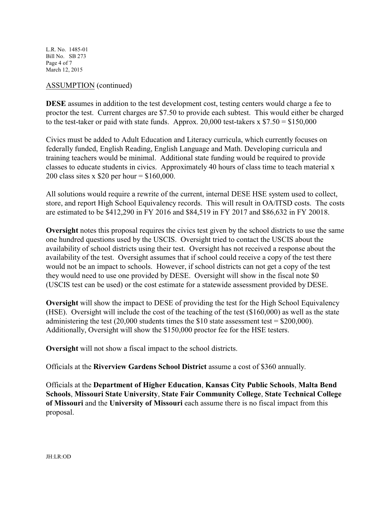L.R. No. 1485-01 Bill No. SB 273 Page 4 of 7 March 12, 2015

## ASSUMPTION (continued)

**DESE** assumes in addition to the test development cost, testing centers would charge a fee to proctor the test. Current charges are \$7.50 to provide each subtest. This would either be charged to the test-taker or paid with state funds. Approx. 20,000 test-takers  $x$  \$7.50 = \$150,000

Civics must be added to Adult Education and Literacy curricula, which currently focuses on federally funded, English Reading, English Language and Math. Developing curricula and training teachers would be minimal. Additional state funding would be required to provide classes to educate students in civics. Approximately 40 hours of class time to teach material x 200 class sites x \$20 per hour = \$160,000.

All solutions would require a rewrite of the current, internal DESE HSE system used to collect, store, and report High School Equivalency records. This will result in OA/ITSD costs. The costs are estimated to be \$412,290 in FY 2016 and \$84,519 in FY 2017 and \$86,632 in FY 20018.

**Oversight** notes this proposal requires the civics test given by the school districts to use the same one hundred questions used by the USCIS. Oversight tried to contact the USCIS about the availability of school districts using their test. Oversight has not received a response about the availability of the test. Oversight assumes that if school could receive a copy of the test there would not be an impact to schools. However, if school districts can not get a copy of the test they would need to use one provided by DESE. Oversight will show in the fiscal note \$0 (USCIS test can be used) or the cost estimate for a statewide assessment provided by DESE.

**Oversight** will show the impact to DESE of providing the test for the High School Equivalency (HSE). Oversight will include the cost of the teaching of the test (\$160,000) as well as the state administering the test  $(20,000$  students times the \$10 state assessment test = \$200,000). Additionally, Oversight will show the \$150,000 proctor fee for the HSE testers.

**Oversight** will not show a fiscal impact to the school districts.

Officials at the **Riverview Gardens School District** assume a cost of \$360 annually.

Officials at the **Department of Higher Education**, **Kansas City Public Schools**, **Malta Bend Schools**, **Missouri State University**, **State Fair Community College**, **State Technical College of Missouri** and the **University of Missouri** each assume there is no fiscal impact from this proposal.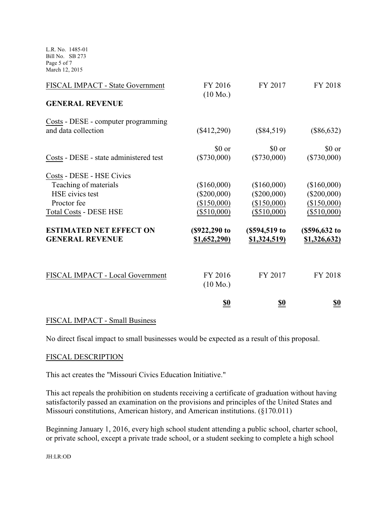L.R. No. 1485-01 Bill No. SB 273 Page 5 of 7 March 12, 2015

| FISCAL IMPACT - State Government                                                                                                                                                  | FY 2016<br>$(10 \text{ Mo.})$                                                                        | FY 2017                                                                                              | FY 2018                                                                                        |
|-----------------------------------------------------------------------------------------------------------------------------------------------------------------------------------|------------------------------------------------------------------------------------------------------|------------------------------------------------------------------------------------------------------|------------------------------------------------------------------------------------------------|
| <b>GENERAL REVENUE</b>                                                                                                                                                            |                                                                                                      |                                                                                                      |                                                                                                |
| Costs - DESE - computer programming<br>and data collection                                                                                                                        | $(\$412,290)$                                                                                        | $(\$84,519)$                                                                                         | $(\$86,632)$                                                                                   |
| Costs - DESE - state administered test                                                                                                                                            | \$0 or<br>$(\$730,000)$                                                                              | \$0 or<br>$(\$730,000)$                                                                              | \$0 or<br>$(\$730,000)$                                                                        |
| Costs - DESE - HSE Civics<br>Teaching of materials<br>HSE civics test<br>Proctor fee<br><b>Total Costs - DESE HSE</b><br><b>ESTIMATED NET EFFECT ON</b><br><b>GENERAL REVENUE</b> | (\$160,000)<br>$(\$200,000)$<br>(\$150,000)<br>$(\$510,000)$<br>(\$922,290 to<br><u>\$1,652,290)</u> | (\$160,000)<br>$(\$200,000)$<br>(\$150,000)<br>$(\$510,000)$<br>(\$594,519 to<br><u>\$1,324,519)</u> | (\$160,000)<br>$(\$200,000)$<br>(\$150,000)<br>$(\$510,000)$<br>(\$596, 632 to<br>\$1,326,632) |
| FISCAL IMPACT - Local Government                                                                                                                                                  | FY 2016<br>$(10 \text{ Mo.})$                                                                        | FY 2017                                                                                              | FY 2018                                                                                        |
|                                                                                                                                                                                   | <u>\$0</u>                                                                                           | <u>\$0</u>                                                                                           | <u>\$0</u>                                                                                     |

#### FISCAL IMPACT - Small Business

No direct fiscal impact to small businesses would be expected as a result of this proposal.

#### FISCAL DESCRIPTION

This act creates the "Missouri Civics Education Initiative."

This act repeals the prohibition on students receiving a certificate of graduation without having satisfactorily passed an examination on the provisions and principles of the United States and Missouri constitutions, American history, and American institutions. (§170.011)

Beginning January 1, 2016, every high school student attending a public school, charter school, or private school, except a private trade school, or a student seeking to complete a high school

JH:LR:OD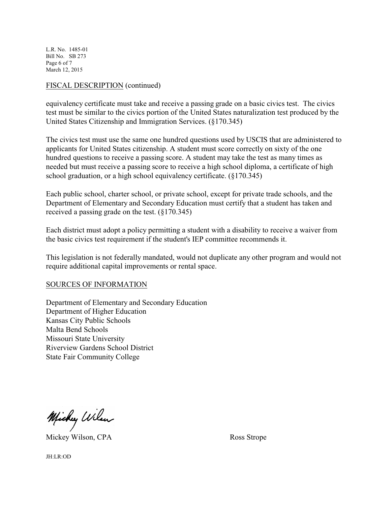L.R. No. 1485-01 Bill No. SB 273 Page 6 of 7 March 12, 2015

## FISCAL DESCRIPTION (continued)

equivalency certificate must take and receive a passing grade on a basic civics test. The civics test must be similar to the civics portion of the United States naturalization test produced by the United States Citizenship and Immigration Services. (§170.345)

The civics test must use the same one hundred questions used by USCIS that are administered to applicants for United States citizenship. A student must score correctly on sixty of the one hundred questions to receive a passing score. A student may take the test as many times as needed but must receive a passing score to receive a high school diploma, a certificate of high school graduation, or a high school equivalency certificate. (§170.345)

Each public school, charter school, or private school, except for private trade schools, and the Department of Elementary and Secondary Education must certify that a student has taken and received a passing grade on the test. (§170.345)

Each district must adopt a policy permitting a student with a disability to receive a waiver from the basic civics test requirement if the student's IEP committee recommends it.

This legislation is not federally mandated, would not duplicate any other program and would not require additional capital improvements or rental space.

#### SOURCES OF INFORMATION

Department of Elementary and Secondary Education Department of Higher Education Kansas City Public Schools Malta Bend Schools Missouri State University Riverview Gardens School District State Fair Community College

Michy Wilson

Mickey Wilson, CPA Ross Strope

JH:LR:OD